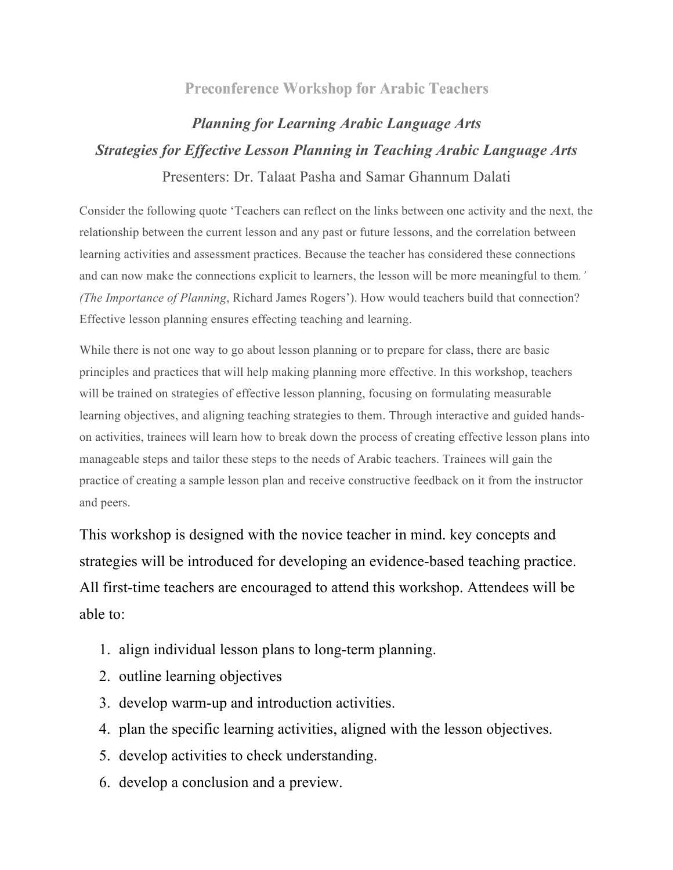## **Preconference Workshop for Arabic Teachers**

## *Planning for Learning Arabic Language Arts Strategies for Effective Lesson Planning in Teaching Arabic Language Arts*

Presenters: Dr. Talaat Pasha and Samar Ghannum Dalati

Consider the following quote 'Teachers can reflect on the links between one activity and the next, the relationship between the current lesson and any past or future lessons, and the correlation between learning activities and assessment practices. Because the teacher has considered these connections and can now make the connections explicit to learners, the lesson will be more meaningful to them*.' (The Importance of Planning*, Richard James Rogers'). How would teachers build that connection? Effective lesson planning ensures effecting teaching and learning.

While there is not one way to go about lesson planning or to prepare for class, there are basic principles and practices that will help making planning more effective. In this workshop, teachers will be trained on strategies of effective lesson planning, focusing on formulating measurable learning objectives, and aligning teaching strategies to them. Through interactive and guided handson activities, trainees will learn how to break down the process of creating effective lesson plans into manageable steps and tailor these steps to the needs of Arabic teachers. Trainees will gain the practice of creating a sample lesson plan and receive constructive feedback on it from the instructor and peers.

This workshop is designed with the novice teacher in mind. key concepts and strategies will be introduced for developing an evidence-based teaching practice. All first-time teachers are encouraged to attend this workshop. Attendees will be able to:

- 1. align individual lesson plans to long-term planning.
- 2. outline learning objectives
- 3. develop warm-up and introduction activities.
- 4. plan the specific learning activities, aligned with the lesson objectives.
- 5. develop activities to check understanding.
- 6. develop a conclusion and a preview.